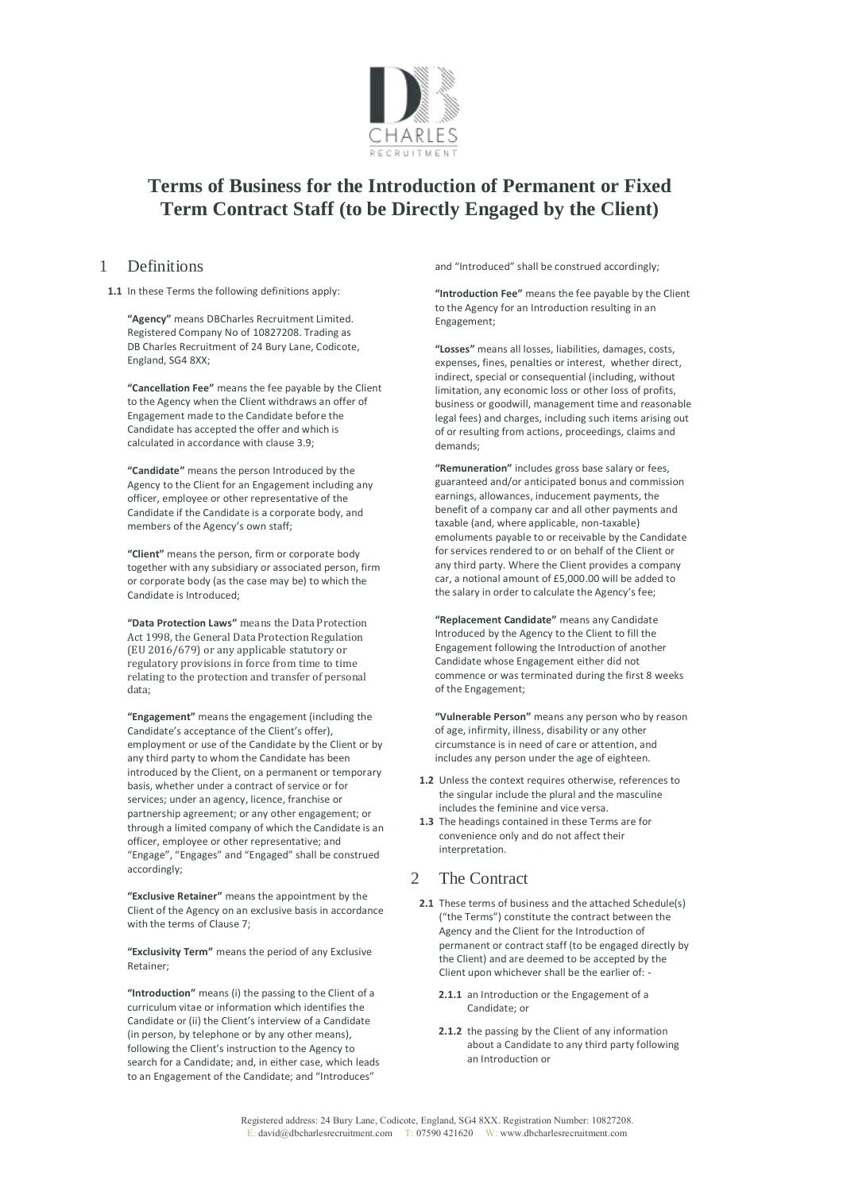

# **Terms of Business for the Introduction of Permanent or Fixed Term Contract Staff (to be Directly Engaged by the Client)**

#### 1 Definitions

**1.1** In these Terms the following definitions apply:

**"Agency"** means DBCharles Recruitment Limited. Registered Company No of 10827208. Trading as DB Charles Recruitment of 24 Bury Lane, Codicote, England, SG4 8XX;

**"Cancellation Fee"** means the fee payable by the Client to the Agency when the Client withdraws an offer of Engagement made to the Candidate before the Candidate has accepted the offer and which is calculated in accordance with clause 3.9;

**"Candidate"** means the person Introduced by the Agency to the Client for an Engagement including any officer, employee or other representative of the Candidate if the Candidate is a corporate body, and members of the Agency's own staff;

**"Client"** means the person, firm or corporate body together with any subsidiary or associated person, firm or corporate body (as the case may be) to which the Candidate is Introduced;

**"Data Protection Laws"** means the Data Protection Act 1998, the General Data Protection Regulation (EU 2016/679) or any applicable statutory or regulatory provisions in force from time to time relating to the protection and transfer of personal data;

**"Engagement"** means the engagement (including the Candidate's acceptance of the Client's offer), employment or use of the Candidate by the Client or by any third party to whom the Candidate has been introduced by the Client, on a permanent or temporary basis, whether under a contract of service or for services; under an agency, licence, franchise or partnership agreement; or any other engagement; or through a limited company of which the Candidate is an officer, employee or other representative; and "Engage", "Engages" and "Engaged" shall be construed accordingly;

**"Exclusive Retainer"** means the appointment by the Client of the Agency on an exclusive basis in accordance with the terms of Clause 7;

**"Exclusivity Term"** means the period of any Exclusive Retainer;

**"Introduction"** means (i) the passing to the Client of a curriculum vitae or information which identifies the Candidate or (ii) the Client's interview of a Candidate (in person, by telephone or by any other means), following the Client's instruction to the Agency to search for a Candidate; and, in either case, which leads to an Engagement of the Candidate; and "Introduces"

and "Introduced" shall be construed accordingly;

**"Introduction Fee"** means the fee payable by the Client to the Agency for an Introduction resulting in an Engagement;

**"Losses"** means all losses, liabilities, damages, costs, expenses, fines, penalties or interest, whether direct, indirect, special or consequential (including, without limitation, any economic loss or other loss of profits, business or goodwill, management time and reasonable legal fees) and charges, including such items arising out of or resulting from actions, proceedings, claims and demands;

**"Remuneration"** includes gross base salary or fees, guaranteed and/or anticipated bonus and commission earnings, allowances, inducement payments, the benefit of a company car and all other payments and taxable (and, where applicable, non-taxable) emoluments payable to or receivable by the Candidate for services rendered to or on behalf of the Client or any third party. Where the Client provides a company car, a notional amount of £5,000.00 will be added to the salary in order to calculate the Agency's fee;

**"Replacement Candidate"** means any Candidate Introduced by the Agency to the Client to fill the Engagement following the Introduction of another Candidate whose Engagement either did not commence or was terminated during the first 8 weeks of the Engagement;

**"Vulnerable Person"** means any person who by reason of age, infirmity, illness, disability or any other circumstance is in need of care or attention, and includes any person under the age of eighteen.

- **1.2** Unless the context requires otherwise, references to the singular include the plural and the masculine includes the feminine and vice versa.
- **1.3** The headings contained in these Terms are for convenience only and do not affect their interpretation.

# 2 The Contract

- **2.1** These terms of business and the attached Schedule(s) ("the Terms") constitute the contract between the Agency and the Client for the Introduction of permanent or contract staff (to be engaged directly by the Client) and are deemed to be accepted by the Client upon whichever shall be the earlier of: -
	- **2.1.1** an Introduction or the Engagement of a Candidate; or
	- **2.1.2** the passing by the Client of any information about a Candidate to any third party following an Introduction or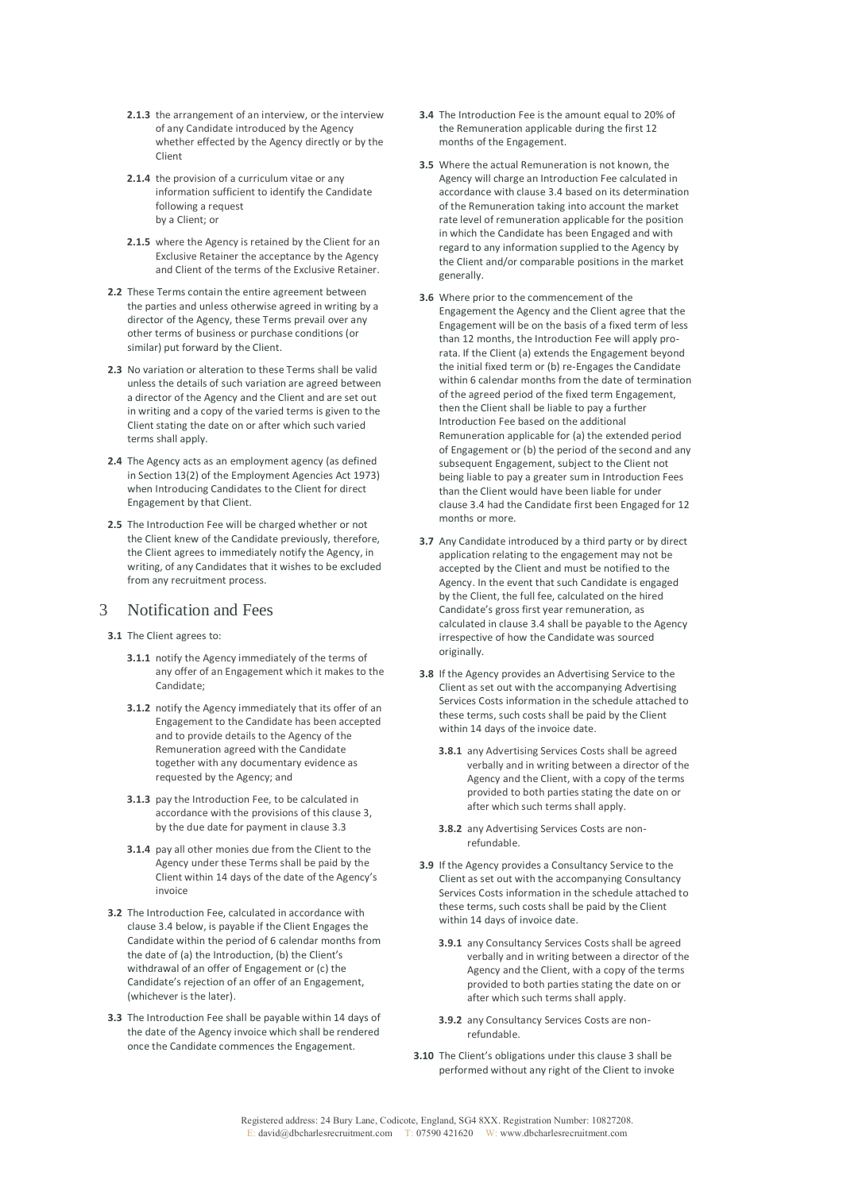- **2.1.3** the arrangement of an interview, or the interview of any Candidate introduced by the Agency whether effected by the Agency directly or by the Client
- **2.1.4** the provision of a curriculum vitae or any information sufficient to identify the Candidate following a request by a Client; or
- **2.1.5** where the Agency is retained by the Client for an Exclusive Retainer the acceptance by the Agency and Client of the terms of the Exclusive Retainer.
- **2.2** These Terms contain the entire agreement between the parties and unless otherwise agreed in writing by a director of the Agency, these Terms prevail over any other terms of business or purchase conditions (or similar) put forward by the Client.
- **2.3** No variation or alteration to these Terms shall be valid unless the details of such variation are agreed between a director of the Agency and the Client and are set out in writing and a copy of the varied terms is given to the Client stating the date on or after which such varied terms shall apply.
- **2.4** The Agency acts as an employment agency (as defined in Section 13(2) of the Employment Agencies Act 1973) when Introducing Candidates to the Client for direct Engagement by that Client.
- **2.5** The Introduction Fee will be charged whether or not the Client knew of the Candidate previously, therefore, the Client agrees to immediately notify the Agency, in writing, of any Candidates that it wishes to be excluded from any recruitment process.

#### 3 Notification and Fees

- **3.1** The Client agrees to:
	- **3.1.1** notify the Agency immediately of the terms of any offer of an Engagement which it makes to the Candidate;
	- **3.1.2** notify the Agency immediately that its offer of an Engagement to the Candidate has been accepted and to provide details to the Agency of the Remuneration agreed with the Candidate together with any documentary evidence as requested by the Agency; and
	- **3.1.3** pay the Introduction Fee, to be calculated in accordance with the provisions of this clause 3, by the due date for payment in clause 3.3
	- **3.1.4** pay all other monies due from the Client to the Agency under these Terms shall be paid by the Client within 14 days of the date of the Agency's invoice
- **3.2** The Introduction Fee, calculated in accordance with clause 3.4 below, is payable if the Client Engages the Candidate within the period of 6 calendar months from the date of (a) the Introduction, (b) the Client's withdrawal of an offer of Engagement or (c) the Candidate's rejection of an offer of an Engagement, (whichever is the later).
- **3.3** The Introduction Fee shall be payable within 14 days of the date of the Agency invoice which shall be rendered once the Candidate commences the Engagement.
- **3.4** The Introduction Fee is the amount equal to 20% of the Remuneration applicable during the first 12 months of the Engagement.
- **3.5** Where the actual Remuneration is not known, the Agency will charge an Introduction Fee calculated in accordance with clause 3.4 based on its determination of the Remuneration taking into account the market rate level of remuneration applicable for the position in which the Candidate has been Engaged and with regard to any information supplied to the Agency by the Client and/or comparable positions in the market generally.
- **3.6** Where prior to the commencement of the Engagement the Agency and the Client agree that the Engagement will be on the basis of a fixed term of less than 12 months, the Introduction Fee will apply prorata. If the Client (a) extends the Engagement beyond the initial fixed term or (b) re-Engages the Candidate within 6 calendar months from the date of termination of the agreed period of the fixed term Engagement, then the Client shall be liable to pay a further Introduction Fee based on the additional Remuneration applicable for (a) the extended period of Engagement or (b) the period of the second and any subsequent Engagement, subject to the Client not being liable to pay a greater sum in Introduction Fees than the Client would have been liable for under clause 3.4 had the Candidate first been Engaged for 12 months or more.
- **3.7** Any Candidate introduced by a third party or by direct application relating to the engagement may not be accepted by the Client and must be notified to the Agency. In the event that such Candidate is engaged by the Client, the full fee, calculated on the hired Candidate's gross first year remuneration, as calculated in clause 3.4 shall be payable to the Agency irrespective of how the Candidate was sourced originally.
- **3.8** If the Agency provides an Advertising Service to the Client as set out with the accompanying Advertising Services Costs information in the schedule attached to these terms, such costs shall be paid by the Client within 14 days of the invoice date.
	- **3.8.1** any Advertising Services Costs shall be agreed verbally and in writing between a director of the Agency and the Client, with a copy of the terms provided to both parties stating the date on or after which such terms shall apply.
	- **3.8.2** any Advertising Services Costs are nonrefundable.
- **3.9** If the Agency provides a Consultancy Service to the Client as set out with the accompanying Consultancy Services Costs information in the schedule attached to these terms, such costs shall be paid by the Client within 14 days of invoice date.
	- **3.9.1** any Consultancy Services Costs shall be agreed verbally and in writing between a director of the Agency and the Client, with a copy of the terms provided to both parties stating the date on or after which such terms shall apply.
	- **3.9.2** any Consultancy Services Costs are nonrefundable.
- **3.10** The Client's obligations under this clause 3 shall be performed without any right of the Client to invoke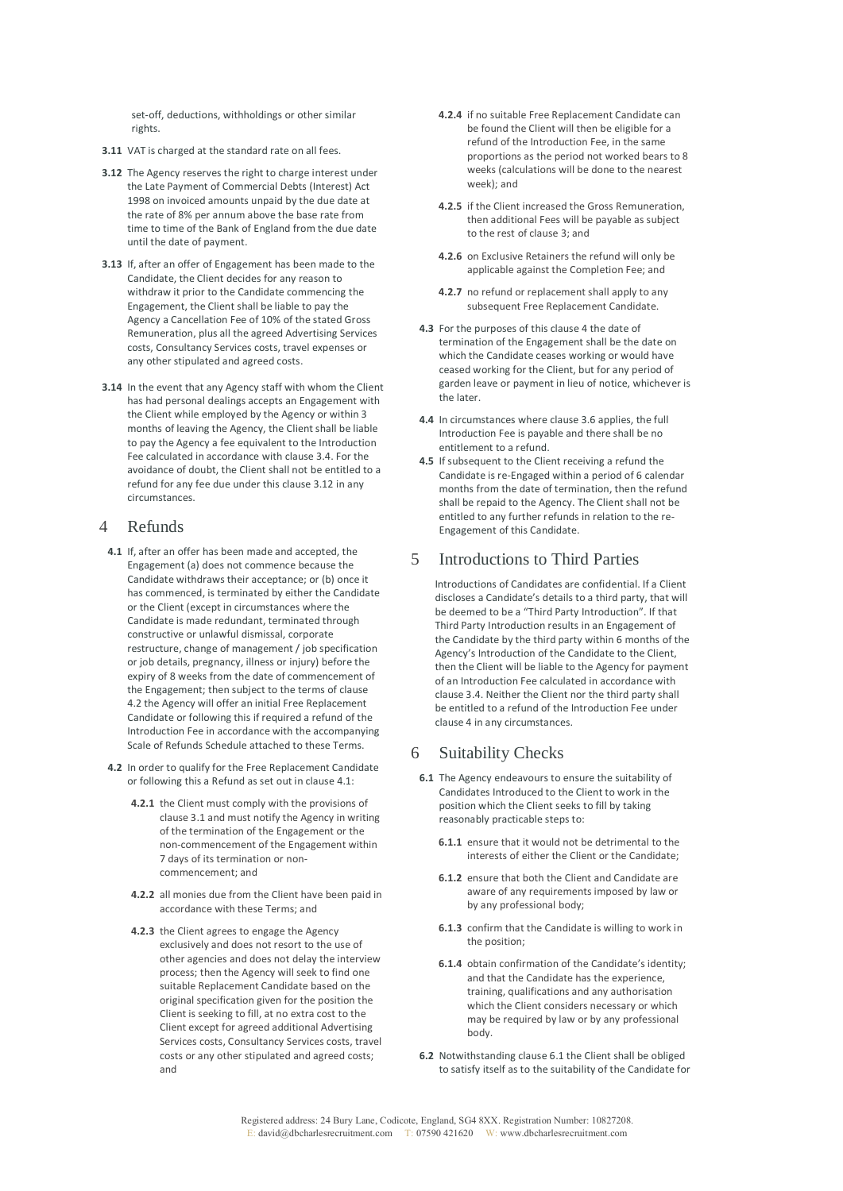set-off, deductions, withholdings or other similar rights.

- **3.11** VAT is charged at the standard rate on all fees.
- **3.12** The Agency reserves the right to charge interest under the Late Payment of Commercial Debts (Interest) Act 1998 on invoiced amounts unpaid by the due date at the rate of 8% per annum above the base rate from time to time of the Bank of England from the due date until the date of payment.
- **3.13** If, after an offer of Engagement has been made to the Candidate, the Client decides for any reason to withdraw it prior to the Candidate commencing the Engagement, the Client shall be liable to pay the Agency a Cancellation Fee of 10% of the stated Gross Remuneration, plus all the agreed Advertising Services costs, Consultancy Services costs, travel expenses or any other stipulated and agreed costs.
- **3.14** In the event that any Agency staff with whom the Client has had personal dealings accepts an Engagement with the Client while employed by the Agency or within 3 months of leaving the Agency, the Client shall be liable to pay the Agency a fee equivalent to the Introduction Fee calculated in accordance with clause 3.4. For the avoidance of doubt, the Client shall not be entitled to a refund for any fee due under this clause 3.12 in any circumstances.

#### 4 Refunds

- **4.1** If, after an offer has been made and accepted, the Engagement (a) does not commence because the Candidate withdraws their acceptance; or (b) once it has commenced, is terminated by either the Candidate or the Client (except in circumstances where the Candidate is made redundant, terminated through constructive or unlawful dismissal, corporate restructure, change of management / job specification or job details, pregnancy, illness or injury) before the expiry of 8 weeks from the date of commencement of the Engagement; then subject to the terms of clause 4.2 the Agency will offer an initial Free Replacement Candidate or following this if required a refund of the Introduction Fee in accordance with the accompanying Scale of Refunds Schedule attached to these Terms.
- **4.2** In order to qualify for the Free Replacement Candidate or following this a Refund as set out in clause 4.1:
	- **4.2.1** the Client must comply with the provisions of clause 3.1 and must notify the Agency in writing of the termination of the Engagement or the non-commencement of the Engagement within 7 days of its termination or noncommencement; and
	- **4.2.2** all monies due from the Client have been paid in accordance with these Terms; and
	- **4.2.3** the Client agrees to engage the Agency exclusively and does not resort to the use of other agencies and does not delay the interview process; then the Agency will seek to find one suitable Replacement Candidate based on the original specification given for the position the Client is seeking to fill, at no extra cost to the Client except for agreed additional Advertising Services costs, Consultancy Services costs, travel costs or any other stipulated and agreed costs; and
- **4.2.4** if no suitable Free Replacement Candidate can be found the Client will then be eligible for a refund of the Introduction Fee, in the same proportions as the period not worked bears to 8 weeks (calculations will be done to the nearest week); and
- **4.2.5** if the Client increased the Gross Remuneration, then additional Fees will be payable as subject to the rest of clause 3; and
- **4.2.6** on Exclusive Retainers the refund will only be applicable against the Completion Fee; and
- **4.2.7** no refund or replacement shall apply to any subsequent Free Replacement Candidate.
- **4.3** For the purposes of this clause 4 the date of termination of the Engagement shall be the date on which the Candidate ceases working or would have ceased working for the Client, but for any period of garden leave or payment in lieu of notice, whichever is the later.
- **4.4** In circumstances where clause 3.6 applies, the full Introduction Fee is payable and there shall be no entitlement to a refund.
- **4.5** If subsequent to the Client receiving a refund the Candidate is re-Engaged within a period of 6 calendar months from the date of termination, then the refund shall be repaid to the Agency. The Client shall not be entitled to any further refunds in relation to the re-Engagement of this Candidate.

### 5 Introductions to Third Parties

Introductions of Candidates are confidential. If a Client discloses a Candidate's details to a third party, that will be deemed to be a "Third Party Introduction". If that Third Party Introduction results in an Engagement of the Candidate by the third party within 6 months of the Agency's Introduction of the Candidate to the Client, then the Client will be liable to the Agency for payment of an Introduction Fee calculated in accordance with clause 3.4. Neither the Client nor the third party shall be entitled to a refund of the Introduction Fee under clause 4 in any circumstances.

### 6 Suitability Checks

- **6.1** The Agency endeavours to ensure the suitability of Candidates Introduced to the Client to work in the position which the Client seeks to fill by taking reasonably practicable steps to:
	- **6.1.1** ensure that it would not be detrimental to the interests of either the Client or the Candidate;
	- **6.1.2** ensure that both the Client and Candidate are aware of any requirements imposed by law or by any professional body;
	- **6.1.3** confirm that the Candidate is willing to work in the position;
	- **6.1.4** obtain confirmation of the Candidate's identity; and that the Candidate has the experience, training, qualifications and any authorisation which the Client considers necessary or which may be required by law or by any professional body.
- **6.2** Notwithstanding clause 6.1 the Client shall be obliged to satisfy itself as to the suitability of the Candidate for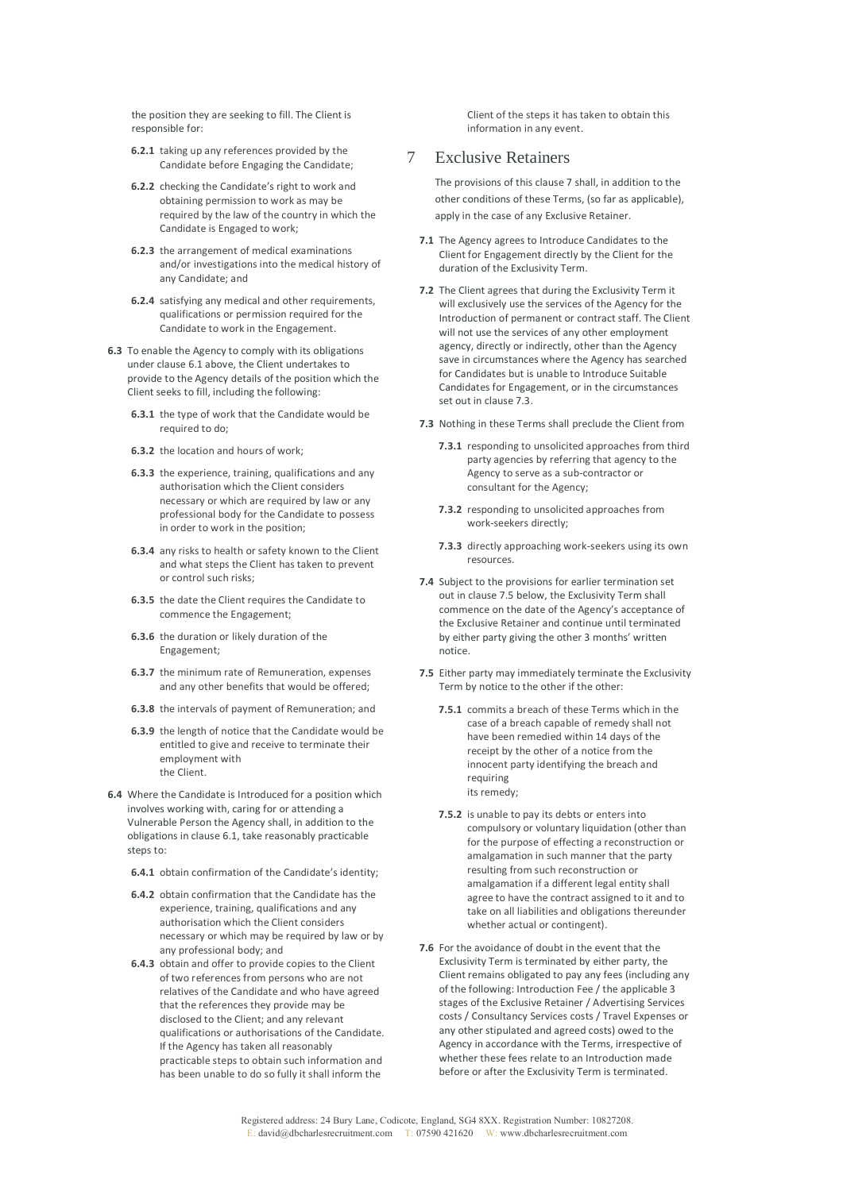the position they are seeking to fill. The Client is responsible for:

- **6.2.1** taking up any references provided by the Candidate before Engaging the Candidate;
- **6.2.2** checking the Candidate's right to work and obtaining permission to work as may be required by the law of the country in which the Candidate is Engaged to work;
- **6.2.3** the arrangement of medical examinations and/or investigations into the medical history of any Candidate; and
- **6.2.4** satisfying any medical and other requirements, qualifications or permission required for the Candidate to work in the Engagement.
- **6.3** To enable the Agency to comply with its obligations under clause 6.1 above, the Client undertakes to provide to the Agency details of the position which the Client seeks to fill, including the following:
	- **6.3.1** the type of work that the Candidate would be required to do;
	- **6.3.2** the location and hours of work;
	- **6.3.3** the experience, training, qualifications and any authorisation which the Client considers necessary or which are required by law or any professional body for the Candidate to possess in order to work in the position;
	- **6.3.4** any risks to health or safety known to the Client and what steps the Client has taken to prevent or control such risks;
	- **6.3.5** the date the Client requires the Candidate to commence the Engagement;
	- **6.3.6** the duration or likely duration of the Engagement;
	- **6.3.7** the minimum rate of Remuneration, expenses and any other benefits that would be offered;
	- **6.3.8** the intervals of payment of Remuneration; and
	- **6.3.9** the length of notice that the Candidate would be entitled to give and receive to terminate their employment with the Client.
- **6.4** Where the Candidate is Introduced for a position which involves working with, caring for or attending a Vulnerable Person the Agency shall, in addition to the obligations in clause 6.1, take reasonably practicable steps to:
	- **6.4.1** obtain confirmation of the Candidate's identity;
	- **6.4.2** obtain confirmation that the Candidate has the experience, training, qualifications and any authorisation which the Client considers necessary or which may be required by law or by any professional body; and
	- **6.4.3** obtain and offer to provide copies to the Client of two references from persons who are not relatives of the Candidate and who have agreed that the references they provide may be disclosed to the Client; and any relevant qualifications or authorisations of the Candidate. If the Agency has taken all reasonably practicable steps to obtain such information and has been unable to do so fully it shall inform the

Client of the steps it has taken to obtain this information in any event.

#### 7 Exclusive Retainers

The provisions of this clause 7 shall, in addition to the other conditions of these Terms, (so far as applicable), apply in the case of any Exclusive Retainer.

- **7.1** The Agency agrees to Introduce Candidates to the Client for Engagement directly by the Client for the duration of the Exclusivity Term.
- **7.2** The Client agrees that during the Exclusivity Term it will exclusively use the services of the Agency for the Introduction of permanent or contract staff. The Client will not use the services of any other employment agency, directly or indirectly, other than the Agency save in circumstances where the Agency has searched for Candidates but is unable to Introduce Suitable Candidates for Engagement, or in the circumstances set out in clause 7.3.
- **7.3** Nothing in these Terms shall preclude the Client from
	- **7.3.1** responding to unsolicited approaches from third party agencies by referring that agency to the Agency to serve as a sub-contractor or consultant for the Agency;
	- **7.3.2** responding to unsolicited approaches from work-seekers directly;
	- **7.3.3** directly approaching work-seekers using its own resources.
- **7.4** Subject to the provisions for earlier termination set out in clause 7.5 below, the Exclusivity Term shall commence on the date of the Agency's acceptance of the Exclusive Retainer and continue until terminated by either party giving the other 3 months' written notice.
- **7.5** Either party may immediately terminate the Exclusivity Term by notice to the other if the other:
	- **7.5.1** commits a breach of these Terms which in the case of a breach capable of remedy shall not have been remedied within 14 days of the receipt by the other of a notice from the innocent party identifying the breach and requiring its remedy;
	- **7.5.2** is unable to pay its debts or enters into compulsory or voluntary liquidation (other than for the purpose of effecting a reconstruction or amalgamation in such manner that the party resulting from such reconstruction or amalgamation if a different legal entity shall agree to have the contract assigned to it and to take on all liabilities and obligations thereunder whether actual or contingent).
- **7.6** For the avoidance of doubt in the event that the Exclusivity Term is terminated by either party, the Client remains obligated to pay any fees (including any of the following: Introduction Fee / the applicable 3 stages of the Exclusive Retainer / Advertising Services costs / Consultancy Services costs / Travel Expenses or any other stipulated and agreed costs) owed to the Agency in accordance with the Terms, irrespective of whether these fees relate to an Introduction made before or after the Exclusivity Term is terminated.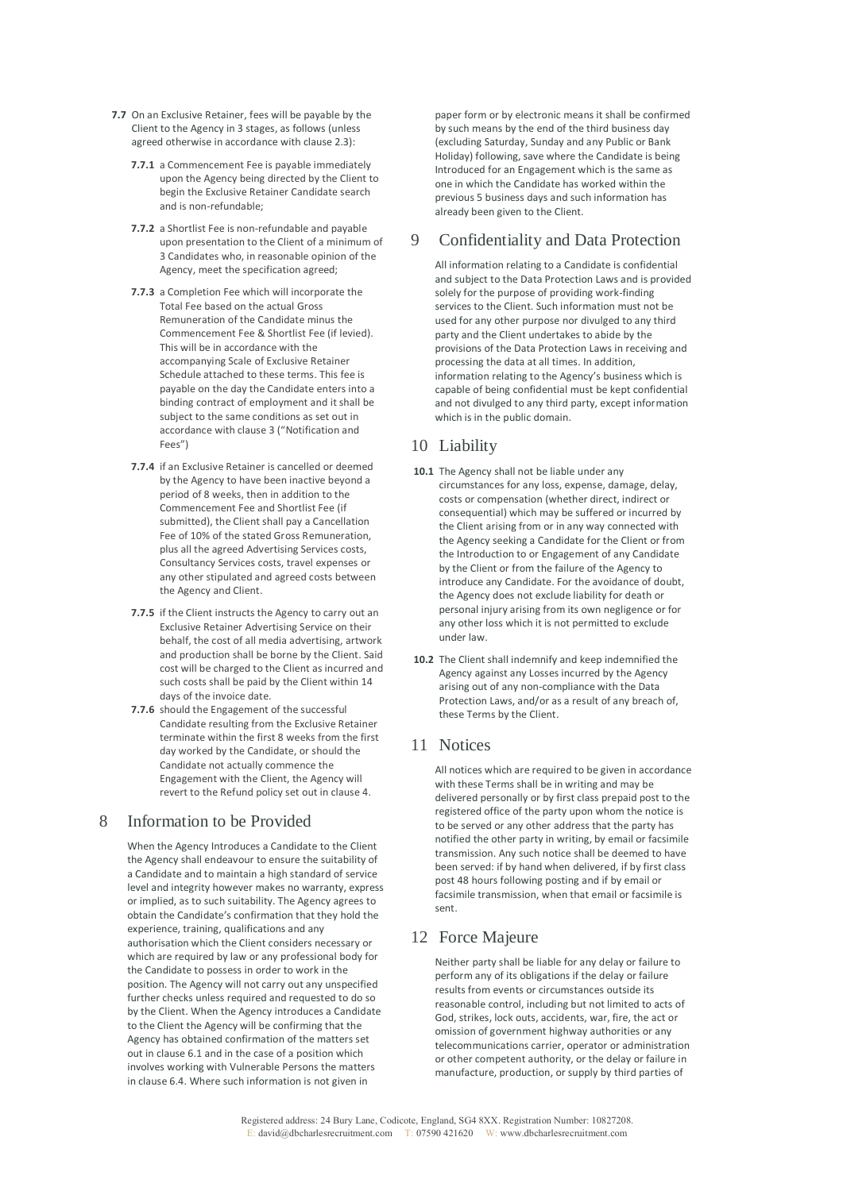- **7.7** On an Exclusive Retainer, fees will be payable by the Client to the Agency in 3 stages, as follows (unless agreed otherwise in accordance with clause 2.3):
	- **7.7.1** a Commencement Fee is payable immediately upon the Agency being directed by the Client to begin the Exclusive Retainer Candidate search and is non-refundable;
	- **7.7.2** a Shortlist Fee is non-refundable and payable upon presentation to the Client of a minimum of 3 Candidates who, in reasonable opinion of the Agency, meet the specification agreed;
	- **7.7.3** a Completion Fee which will incorporate the Total Fee based on the actual Gross Remuneration of the Candidate minus the Commencement Fee & Shortlist Fee (if levied). This will be in accordance with the accompanying Scale of Exclusive Retainer Schedule attached to these terms. This fee is payable on the day the Candidate enters into a binding contract of employment and it shall be subject to the same conditions as set out in accordance with clause 3 ("Notification and Fees")
	- **7.7.4** if an Exclusive Retainer is cancelled or deemed by the Agency to have been inactive beyond a period of 8 weeks, then in addition to the Commencement Fee and Shortlist Fee (if submitted), the Client shall pay a Cancellation Fee of 10% of the stated Gross Remuneration, plus all the agreed Advertising Services costs, Consultancy Services costs, travel expenses or any other stipulated and agreed costs between the Agency and Client.
	- **7.7.5** if the Client instructs the Agency to carry out an Exclusive Retainer Advertising Service on their behalf, the cost of all media advertising, artwork and production shall be borne by the Client. Said cost will be charged to the Client as incurred and such costs shall be paid by the Client within 14 days of the invoice date.
	- **7.7.6** should the Engagement of the successful Candidate resulting from the Exclusive Retainer terminate within the first 8 weeks from the first day worked by the Candidate, or should the Candidate not actually commence the Engagement with the Client, the Agency will revert to the Refund policy set out in clause 4.

### 8 Information to be Provided

When the Agency Introduces a Candidate to the Client the Agency shall endeavour to ensure the suitability of a Candidate and to maintain a high standard of service level and integrity however makes no warranty, express or implied, as to such suitability. The Agency agrees to obtain the Candidate's confirmation that they hold the experience, training, qualifications and any authorisation which the Client considers necessary or which are required by law or any professional body for the Candidate to possess in order to work in the position. The Agency will not carry out any unspecified further checks unless required and requested to do so by the Client. When the Agency introduces a Candidate to the Client the Agency will be confirming that the Agency has obtained confirmation of the matters set out in clause 6.1 and in the case of a position which involves working with Vulnerable Persons the matters in clause 6.4. Where such information is not given in

paper form or by electronic means it shall be confirmed by such means by the end of the third business day (excluding Saturday, Sunday and any Public or Bank Holiday) following, save where the Candidate is being Introduced for an Engagement which is the same as one in which the Candidate has worked within the previous 5 business days and such information has already been given to the Client.

### 9 Confidentiality and Data Protection

All information relating to a Candidate is confidential and subject to the Data Protection Laws and is provided solely for the purpose of providing work-finding services to the Client. Such information must not be used for any other purpose nor divulged to any third party and the Client undertakes to abide by the provisions of the Data Protection Laws in receiving and processing the data at all times. In addition, information relating to the Agency's business which is capable of being confidential must be kept confidential and not divulged to any third party, except information which is in the public domain.

#### 10 Liability

- **10.1** The Agency shall not be liable under any circumstances for any loss, expense, damage, delay, costs or compensation (whether direct, indirect or consequential) which may be suffered or incurred by the Client arising from or in any way connected with the Agency seeking a Candidate for the Client or from the Introduction to or Engagement of any Candidate by the Client or from the failure of the Agency to introduce any Candidate. For the avoidance of doubt, the Agency does not exclude liability for death or personal injury arising from its own negligence or for any other loss which it is not permitted to exclude under law.
- **10.2** The Client shall indemnify and keep indemnified the Agency against any Losses incurred by the Agency arising out of any non-compliance with the Data Protection Laws, and/or as a result of any breach of, these Terms by the Client.

#### 11 Notices

All notices which are required to be given in accordance with these Terms shall be in writing and may be delivered personally or by first class prepaid post to the registered office of the party upon whom the notice is to be served or any other address that the party has notified the other party in writing, by email or facsimile transmission. Any such notice shall be deemed to have been served: if by hand when delivered, if by first class post 48 hours following posting and if by email or facsimile transmission, when that email or facsimile is sent.

#### 12 Force Majeure

Neither party shall be liable for any delay or failure to perform any of its obligations if the delay or failure results from events or circumstances outside its reasonable control, including but not limited to acts of God, strikes, lock outs, accidents, war, fire, the act or omission of government highway authorities or any telecommunications carrier, operator or administration or other competent authority, or the delay or failure in manufacture, production, or supply by third parties of